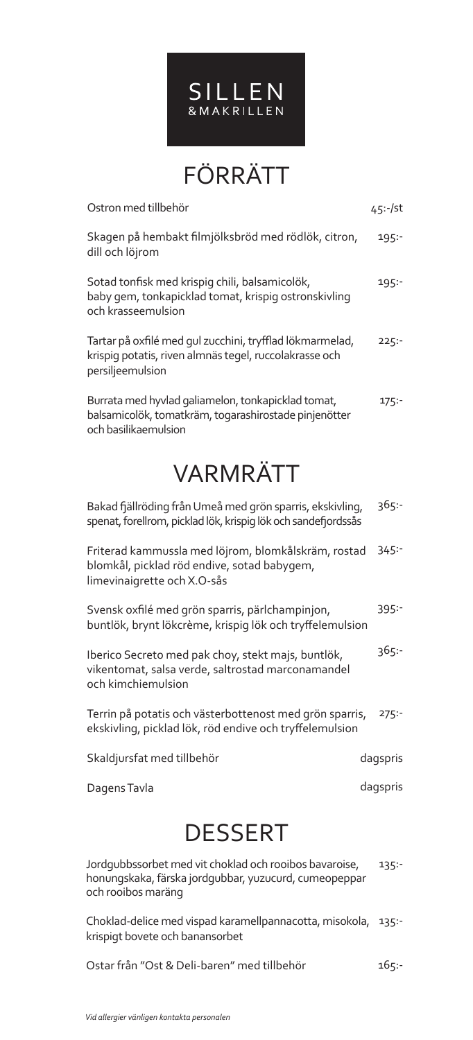

FÖRRÄTT

| Ostron med tillbehör                                                                                                                   | 45:-/st  |
|----------------------------------------------------------------------------------------------------------------------------------------|----------|
| Skagen på hembakt filmjölksbröd med rödlök, citron,<br>dill och löjrom                                                                 | 195:     |
| Sotad tonfisk med krispig chili, balsamicolök,<br>baby gem, tonkapicklad tomat, krispig ostronskivling<br>och krasseemulsion           | 195:     |
| Tartar på oxfilé med gul zucchini, tryfflad lökmarmelad,<br>krispig potatis, riven almnäs tegel, ruccolakrasse och<br>persiljeemulsion | 225:     |
| Burrata med hyvlad galiamelon, tonkapicklad tomat,<br>balsamicolök, tomatkräm, togarashirostade pinjenötter<br>och basilikaemulsion    | 175:     |
| <b>VARMRÄTT</b>                                                                                                                        |          |
| Bakad fjällröding från Umeå med grön sparris, ekskivling,<br>spenat, forellrom, picklad lök, krispig lök och sandefjordssås            | 365:-    |
| Friterad kammussla med löjrom, blomkålskräm, rostad<br>blomkål, picklad röd endive, sotad babygem,<br>limevinaigrette och X.O-sås      | 345:     |
| Svensk oxfilé med grön sparris, pärlchampinjon,<br>buntlök, brynt lökcrème, krispig lök och tryffelemulsion                            | 395:-    |
| Iberico Secreto med pak choy, stekt majs, buntlök,<br>vikentomat, salsa verde, saltrostad marconamandel<br>och kimchiemulsion          | 365:     |
| Terrin på potatis och västerbottenost med grön sparris,<br>ekskivling, picklad lök, röd endive och tryffelemulsion                     | 275:     |
| Skaldjursfat med tillbehör                                                                                                             | dagspris |
| Dagens Tavla                                                                                                                           | dagspris |
| DESSERT                                                                                                                                |          |

Jordgubbssorbet med vit choklad och rooibos bavaroise, honungskaka, färska jordgubbar, yuzucurd, cumeopeppar och rooibos maräng 135:-

Choklad-delice med vispad karamellpannacotta, misokola, 135: krispigt bovete och banansorbet

Ostar från "Ost & Deli-baren" med tillbehör 165:-